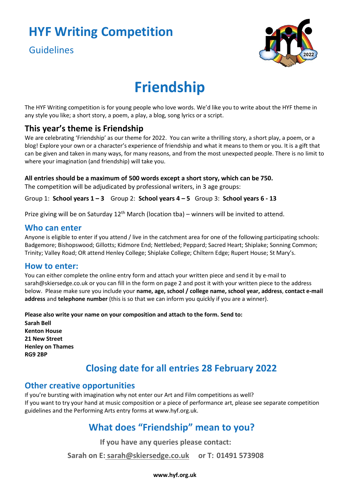## **HYF Writing Competition**

Guidelines



# **Friendship**

The HYF Writing competition is for young people who love words. We'd like you to write about the HYF theme in any style you like; a short story, a poem, a play, a blog, song lyrics or a script.

### **This year's theme is Friendship**

We are celebrating 'Friendship' as our theme for 2022. You can write a thrilling story, a short play, a poem, or a blog! Explore your own or a character's experience of friendship and what it means to them or you. It is a gift that can be given and taken in many ways, for many reasons, and from the most unexpected people. There is no limit to where your imagination (and friendship) will take you.

### **All entries should be a maximum of 500 words except a short story, which can be 750.**

The competition will be adjudicated by professional writers, in 3 age groups:

Group 1: **School years 1 – 3** Group 2: **School years 4 – 5** Group 3: **School years 6 - 13**

Prize giving will be on Saturday 12<sup>th</sup> March (location tba) – winners will be invited to attend.

#### **Who can enter**

Anyone is eligible to enter if you attend / live in the catchment area for one of the following participating schools: Badgemore; Bishopswood; Gillotts; Kidmore End; Nettlebed; Peppard; Sacred Heart; Shiplake; Sonning Common; Trinity; Valley Road; OR attend Henley College; Shiplake College; Chiltern Edge; Rupert House; St Mary's.

#### **How to enter:**

You can either complete the online entry form and attach your written piece and send it by e-mail to sarah@skiersedge.co.uk or you can fill in the form on page 2 and post it with your written piece to the address below. Please make sure you include your **name, age, school / college name, school year, address**, **contact e-mail address** and **telephone number** (this is so that we can inform you quickly if you are a winner).

**Please also write your name on your composition and attach to the form. Send to:**

**Sarah Bell Kenton House 21 New Street Henley on Thames RG9 2BP**

## **Closing date for all entries 28 February 2022**

#### **Other creative opportunities**

If you're bursting with imagination why not enter our Art and Film competitions as well? If you want to try your hand at music composition or a piece of performance art, please see separate competition guidelines and the Performing Arts entry forms at www.hyf.org.uk.

## **What does "Friendship" mean to you?**

**If you have any queries please contact:** 

**Sarah on E: [sarah@skiersedge.co.uk](mailto:%20sarah@skiersedge.co.uk) or T: 01491 573908**

#### **[www.hyf.org.uk](http://www.hyf.org.uk/)**